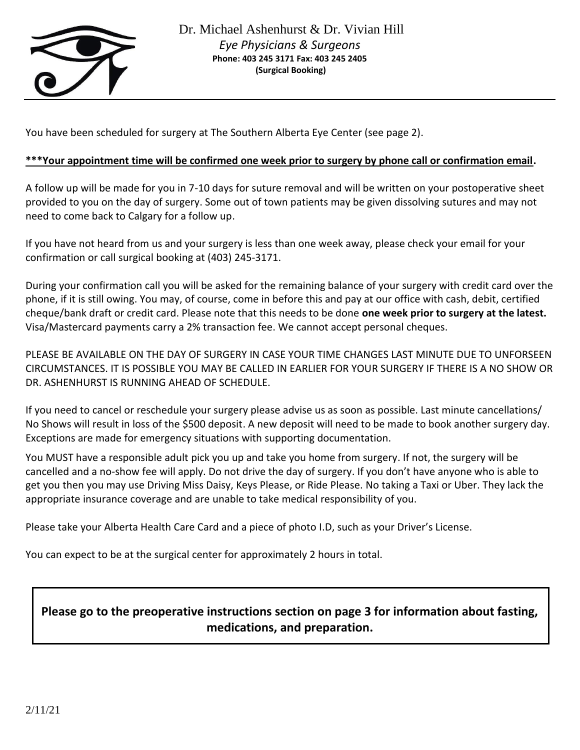

You have been scheduled for surgery at The Southern Alberta Eye Center (see page 2).

#### **\*\*\*Your appointment time will be confirmed one week prior to surgery by phone call or confirmation email.**

A follow up will be made for you in 7-10 days for suture removal and will be written on your postoperative sheet provided to you on the day of surgery. Some out of town patients may be given dissolving sutures and may not need to come back to Calgary for a follow up.

If you have not heard from us and your surgery is less than one week away, please check your email for your confirmation or call surgical booking at (403) 245-3171.

During your confirmation call you will be asked for the remaining balance of your surgery with credit card over the phone, if it is still owing. You may, of course, come in before this and pay at our office with cash, debit, certified cheque/bank draft or credit card. Please note that this needs to be done **one week prior to surgery at the latest.**  Visa/Mastercard payments carry a 2% transaction fee. We cannot accept personal cheques.

PLEASE BE AVAILABLE ON THE DAY OF SURGERY IN CASE YOUR TIME CHANGES LAST MINUTE DUE TO UNFORSEEN CIRCUMSTANCES. IT IS POSSIBLE YOU MAY BE CALLED IN EARLIER FOR YOUR SURGERY IF THERE IS A NO SHOW OR DR. ASHENHURST IS RUNNING AHEAD OF SCHEDULE.

If you need to cancel or reschedule your surgery please advise us as soon as possible. Last minute cancellations/ No Shows will result in loss of the \$500 deposit. A new deposit will need to be made to book another surgery day. Exceptions are made for emergency situations with supporting documentation.

You MUST have a responsible adult pick you up and take you home from surgery. If not, the surgery will be cancelled and a no-show fee will apply. Do not drive the day of surgery. If you don't have anyone who is able to get you then you may use Driving Miss Daisy, Keys Please, or Ride Please. No taking a Taxi or Uber. They lack the appropriate insurance coverage and are unable to take medical responsibility of you.

Please take your Alberta Health Care Card and a piece of photo I.D, such as your Driver's License.

You can expect to be at the surgical center for approximately 2 hours in total.

# **Please go to the preoperative instructions section on page 3 for information about fasting, medications, and preparation.**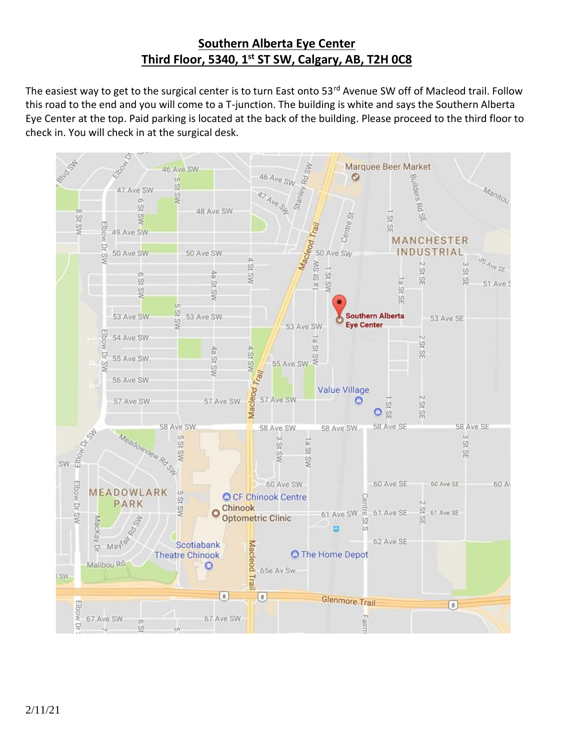# **Southern Alberta Eye Center Third Floor, 5340, 1st ST SW, Calgary, AB, T2H 0C8**

The easiest way to get to the surgical center is to turn East onto 53<sup>rd</sup> Avenue SW off of Macleod trail. Follow this road to the end and you will come to a T-junction. The building is white and says the Southern Alberta Eye Center at the top. Paid parking is located at the back of the building. Please proceed to the third floor to check in. You will check in at the surgical desk.

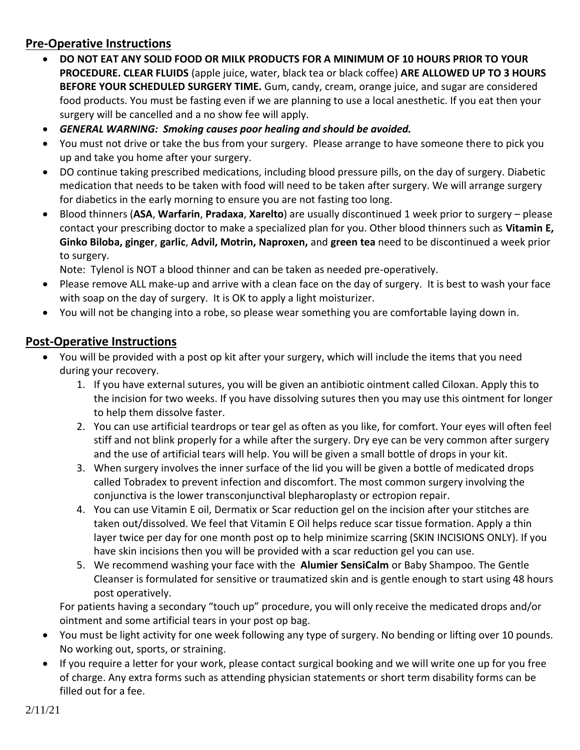### **Pre-Operative Instructions**

- **DO NOT EAT ANY SOLID FOOD OR MILK PRODUCTS FOR A MINIMUM OF 10 HOURS PRIOR TO YOUR PROCEDURE. CLEAR FLUIDS** (apple juice, water, black tea or black coffee) **ARE ALLOWED UP TO 3 HOURS BEFORE YOUR SCHEDULED SURGERY TIME.** Gum, candy, cream, orange juice, and sugar are considered food products. You must be fasting even if we are planning to use a local anesthetic. If you eat then your surgery will be cancelled and a no show fee will apply.
- *GENERAL WARNING: Smoking causes poor healing and should be avoided.*
- You must not drive or take the bus from your surgery. Please arrange to have someone there to pick you up and take you home after your surgery.
- DO continue taking prescribed medications, including blood pressure pills, on the day of surgery. Diabetic medication that needs to be taken with food will need to be taken after surgery. We will arrange surgery for diabetics in the early morning to ensure you are not fasting too long.
- Blood thinners (**ASA**, **Warfarin**, **Pradaxa**, **Xarelto**) are usually discontinued 1 week prior to surgery please contact your prescribing doctor to make a specialized plan for you. Other blood thinners such as **Vitamin E, Ginko Biloba, ginger**, **garlic**, **Advil, Motrin, Naproxen,** and **green tea** need to be discontinued a week prior to surgery.

Note: Tylenol is NOT a blood thinner and can be taken as needed pre-operatively.

- Please remove ALL make-up and arrive with a clean face on the day of surgery. It is best to wash your face with soap on the day of surgery. It is OK to apply a light moisturizer.
- You will not be changing into a robe, so please wear something you are comfortable laying down in.

### **Post-Operative Instructions**

- You will be provided with a post op kit after your surgery, which will include the items that you need during your recovery.
	- 1. If you have external sutures, you will be given an antibiotic ointment called Ciloxan. Apply this to the incision for two weeks. If you have dissolving sutures then you may use this ointment for longer to help them dissolve faster.
	- 2. You can use artificial teardrops or tear gel as often as you like, for comfort. Your eyes will often feel stiff and not blink properly for a while after the surgery. Dry eye can be very common after surgery and the use of artificial tears will help. You will be given a small bottle of drops in your kit.
	- 3. When surgery involves the inner surface of the lid you will be given a bottle of medicated drops called Tobradex to prevent infection and discomfort. The most common surgery involving the conjunctiva is the lower transconjunctival blepharoplasty or ectropion repair.
	- 4. You can use Vitamin E oil, Dermatix or Scar reduction gel on the incision after your stitches are taken out/dissolved. We feel that Vitamin E Oil helps reduce scar tissue formation. Apply a thin layer twice per day for one month post op to help minimize scarring (SKIN INCISIONS ONLY). If you have skin incisions then you will be provided with a scar reduction gel you can use.
	- 5. We recommend washing your face with the **Alumier SensiCalm** or Baby Shampoo. The Gentle Cleanser is formulated for sensitive or traumatized skin and is gentle enough to start using 48 hours post operatively.

For patients having a secondary "touch up" procedure, you will only receive the medicated drops and/or ointment and some artificial tears in your post op bag.

- You must be light activity for one week following any type of surgery. No bending or lifting over 10 pounds. No working out, sports, or straining.
- If you require a letter for your work, please contact surgical booking and we will write one up for you free of charge. Any extra forms such as attending physician statements or short term disability forms can be filled out for a fee.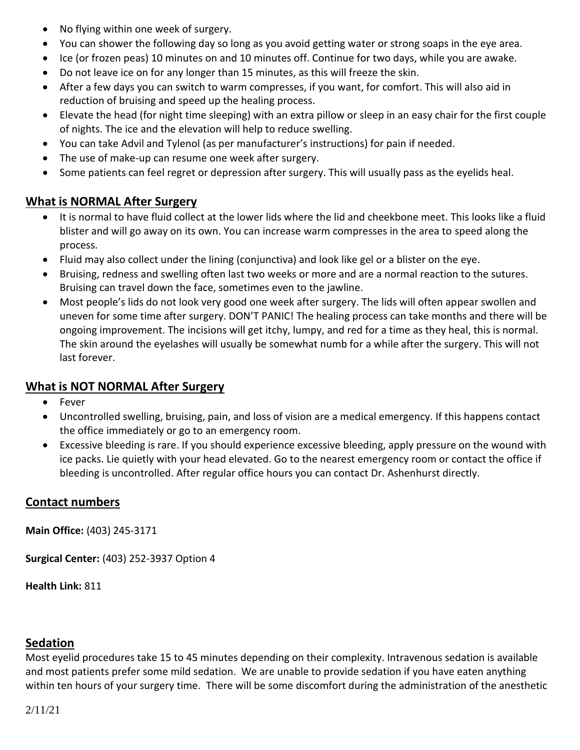- No flying within one week of surgery.
- You can shower the following day so long as you avoid getting water or strong soaps in the eye area.
- Ice (or frozen peas) 10 minutes on and 10 minutes off. Continue for two days, while you are awake.
- Do not leave ice on for any longer than 15 minutes, as this will freeze the skin.
- After a few days you can switch to warm compresses, if you want, for comfort. This will also aid in reduction of bruising and speed up the healing process.
- Elevate the head (for night time sleeping) with an extra pillow or sleep in an easy chair for the first couple of nights. The ice and the elevation will help to reduce swelling.
- You can take Advil and Tylenol (as per manufacturer's instructions) for pain if needed.
- The use of make-up can resume one week after surgery.
- Some patients can feel regret or depression after surgery. This will usually pass as the eyelids heal.

# **What is NORMAL After Surgery**

- It is normal to have fluid collect at the lower lids where the lid and cheekbone meet. This looks like a fluid blister and will go away on its own. You can increase warm compresses in the area to speed along the process.
- Fluid may also collect under the lining (conjunctiva) and look like gel or a blister on the eye.
- Bruising, redness and swelling often last two weeks or more and are a normal reaction to the sutures. Bruising can travel down the face, sometimes even to the jawline.
- Most people's lids do not look very good one week after surgery. The lids will often appear swollen and uneven for some time after surgery. DON'T PANIC! The healing process can take months and there will be ongoing improvement. The incisions will get itchy, lumpy, and red for a time as they heal, this is normal. The skin around the eyelashes will usually be somewhat numb for a while after the surgery. This will not last forever.

## **What is NOT NORMAL After Surgery**

- Fever
- Uncontrolled swelling, bruising, pain, and loss of vision are a medical emergency. If this happens contact the office immediately or go to an emergency room.
- Excessive bleeding is rare. If you should experience excessive bleeding, apply pressure on the wound with ice packs. Lie quietly with your head elevated. Go to the nearest emergency room or contact the office if bleeding is uncontrolled. After regular office hours you can contact Dr. Ashenhurst directly.

# **Contact numbers**

**Main Office:** (403) 245-3171

**Surgical Center:** (403) 252-3937 Option 4

**Health Link:** 811

## **Sedation**

Most eyelid procedures take 15 to 45 minutes depending on their complexity. Intravenous sedation is available and most patients prefer some mild sedation. We are unable to provide sedation if you have eaten anything within ten hours of your surgery time. There will be some discomfort during the administration of the anesthetic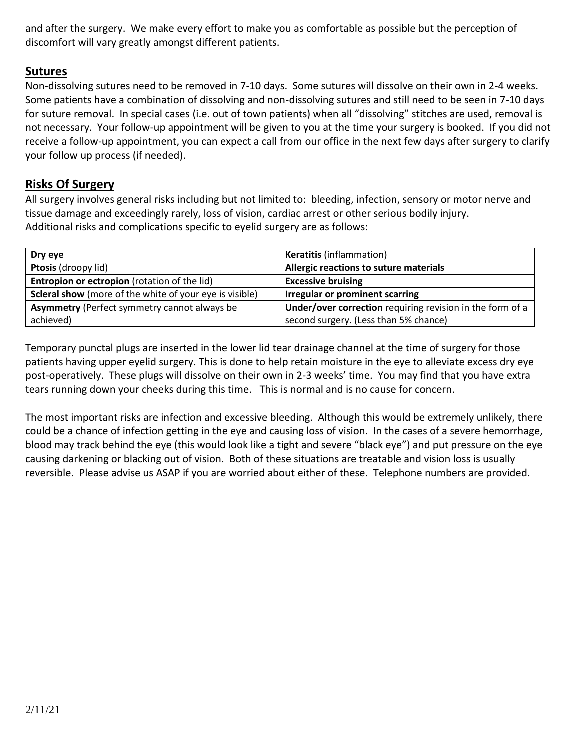and after the surgery. We make every effort to make you as comfortable as possible but the perception of discomfort will vary greatly amongst different patients.

### **Sutures**

Non-dissolving sutures need to be removed in 7-10 days. Some sutures will dissolve on their own in 2-4 weeks. Some patients have a combination of dissolving and non-dissolving sutures and still need to be seen in 7-10 days for suture removal. In special cases (i.e. out of town patients) when all "dissolving" stitches are used, removal is not necessary. Your follow-up appointment will be given to you at the time your surgery is booked. If you did not receive a follow-up appointment, you can expect a call from our office in the next few days after surgery to clarify your follow up process (if needed).

#### **Risks Of Surgery**

All surgery involves general risks including but not limited to: bleeding, infection, sensory or motor nerve and tissue damage and exceedingly rarely, loss of vision, cardiac arrest or other serious bodily injury. Additional risks and complications specific to eyelid surgery are as follows:

| Dry eye                                                        | <b>Keratitis (inflammation)</b>                           |
|----------------------------------------------------------------|-----------------------------------------------------------|
| Ptosis (droopy lid)                                            | Allergic reactions to suture materials                    |
| Entropion or ectropion (rotation of the lid)                   | <b>Excessive bruising</b>                                 |
| <b>Scleral show</b> (more of the white of your eye is visible) | <b>Irregular or prominent scarring</b>                    |
| <b>Asymmetry (Perfect symmetry cannot always be</b>            | Under/over correction requiring revision in the form of a |
| achieved)                                                      | second surgery. (Less than 5% chance)                     |

Temporary punctal plugs are inserted in the lower lid tear drainage channel at the time of surgery for those patients having upper eyelid surgery. This is done to help retain moisture in the eye to alleviate excess dry eye post-operatively. These plugs will dissolve on their own in 2-3 weeks' time. You may find that you have extra tears running down your cheeks during this time. This is normal and is no cause for concern.

The most important risks are infection and excessive bleeding. Although this would be extremely unlikely, there could be a chance of infection getting in the eye and causing loss of vision. In the cases of a severe hemorrhage, blood may track behind the eye (this would look like a tight and severe "black eye") and put pressure on the eye causing darkening or blacking out of vision. Both of these situations are treatable and vision loss is usually reversible. Please advise us ASAP if you are worried about either of these. Telephone numbers are provided.